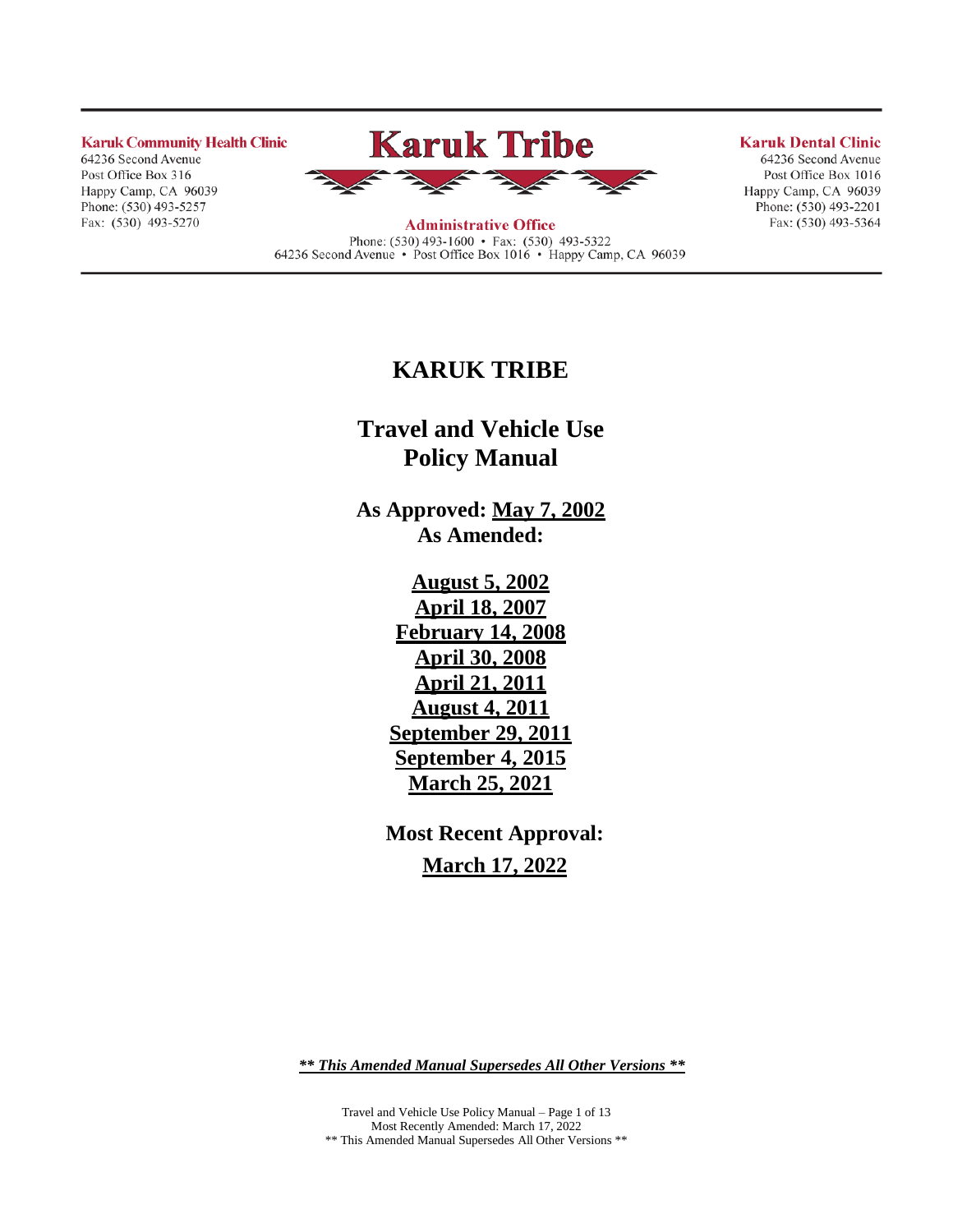**Karuk Community Health Clinic** 

64236 Second Avenue Post Office Box 316 Happy Camp, CA 96039 Phone: (530) 493-5257 Fax: (530) 493-5270



**Administrative Office** Phone: (530) 493-1600 • Fax: (530) 493-5322 64236 Second Avenue • Post Office Box 1016 • Happy Camp, CA 96039

#### **Karuk Dental Clinic**

64236 Second Avenue Post Office Box 1016 Happy Camp, CA 96039 Phone:  $(530)$  493-2201 Fax: (530) 493-5364

# **KARUK TRIBE**

**Travel and Vehicle Use Policy Manual**

**As Approved: May 7, 2002 As Amended:**

> **August 5, 2002 April 18, 2007 February 14, 2008 April 30, 2008 April 21, 2011 August 4, 2011 September 29, 2011 September 4, 2015 March 25, 2021**

**Most Recent Approval: March 17, 2022**

*\*\* This Amended Manual Supersedes All Other Versions \*\**

Travel and Vehicle Use Policy Manual – Page 1 of 13 Most Recently Amended: March 17, 2022 \*\* This Amended Manual Supersedes All Other Versions \*\*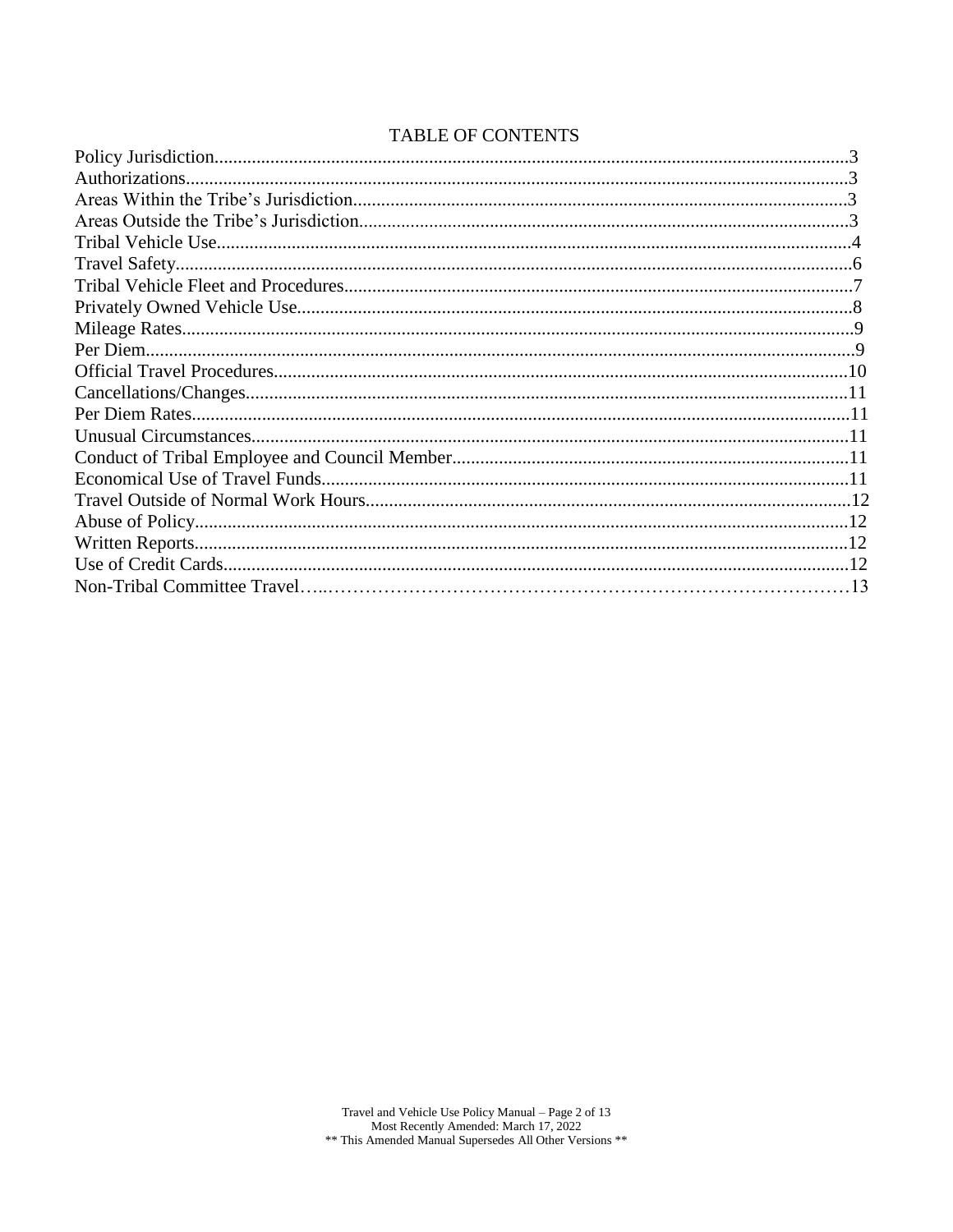# TABLE OF CONTENTS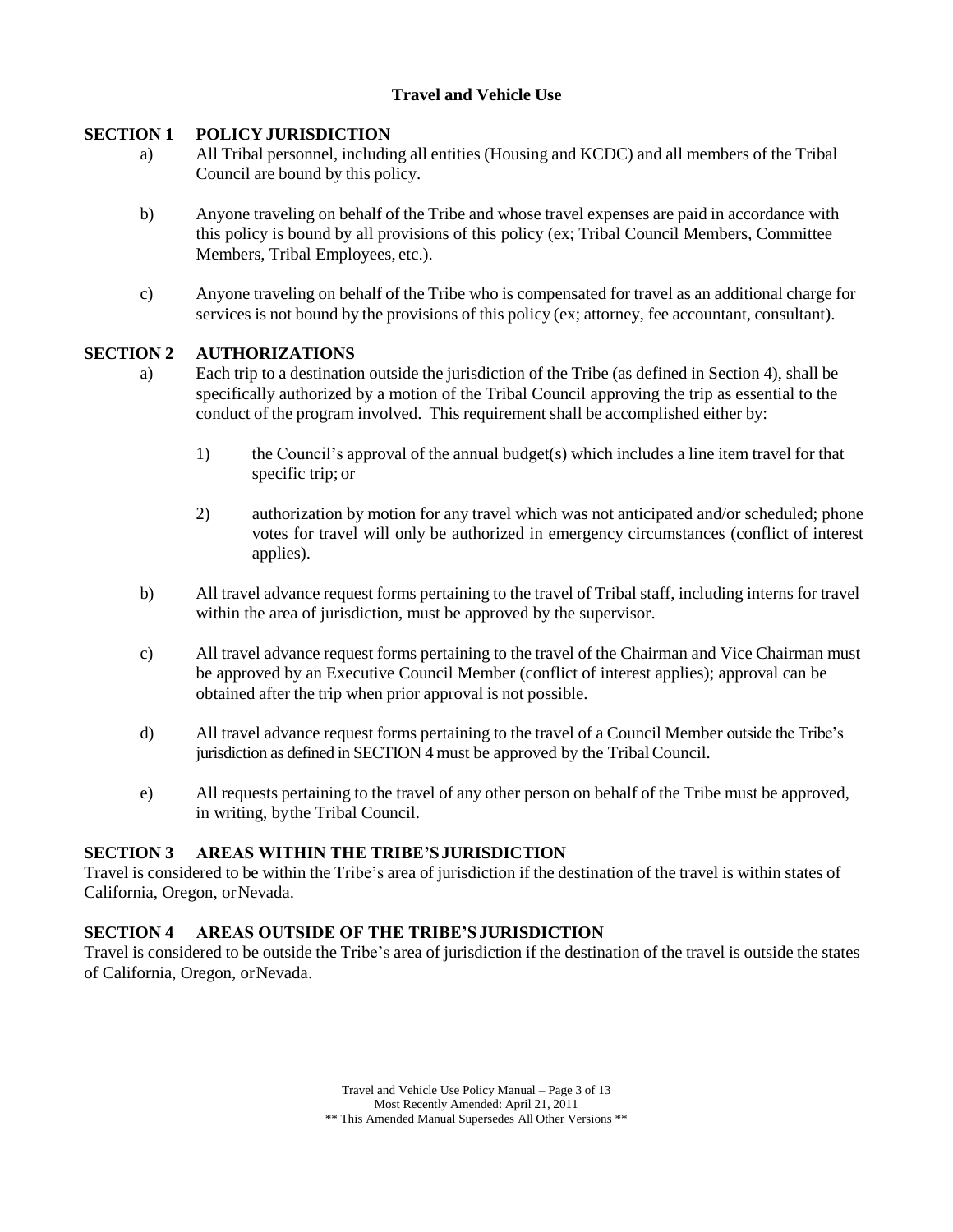# **Travel and Vehicle Use**

# **SECTION 1 POLICY JURISDICTION**

- a) All Tribal personnel, including all entities (Housing and KCDC) and all members of the Tribal Council are bound by this policy.
- b) Anyone traveling on behalf of the Tribe and whose travel expenses are paid in accordance with this policy is bound by all provisions of this policy (ex; Tribal Council Members, Committee Members, Tribal Employees, etc.).
- c) Anyone traveling on behalf of the Tribe who is compensated for travel as an additional charge for services is not bound by the provisions of this policy (ex; attorney, fee accountant, consultant).

### **SECTION 2 AUTHORIZATIONS**

- a) Each trip to a destination outside the jurisdiction of the Tribe (as defined in Section 4), shall be specifically authorized by a motion of the Tribal Council approving the trip as essential to the conduct of the program involved. This requirement shall be accomplished either by:
	- 1) the Council's approval of the annual budget(s) which includes a line item travel for that specific trip; or
	- 2) authorization by motion for any travel which was not anticipated and/or scheduled; phone votes for travel will only be authorized in emergency circumstances (conflict of interest applies).
- b) All travel advance request forms pertaining to the travel of Tribal staff, including interns for travel within the area of jurisdiction, must be approved by the supervisor.
- c) All travel advance request forms pertaining to the travel of the Chairman and Vice Chairman must be approved by an Executive Council Member (conflict of interest applies); approval can be obtained after the trip when prior approval is not possible.
- d) All travel advance request forms pertaining to the travel of a Council Member outside the Tribe's jurisdiction as defined in SECTION 4 must be approved by the TribalCouncil.
- e) All requests pertaining to the travel of any other person on behalf of the Tribe must be approved, in writing, bythe Tribal Council.

#### **SECTION 3 AREAS WITHIN THE TRIBE'SJURISDICTION**

Travel is considered to be within the Tribe's area of jurisdiction if the destination of the travel is within states of California, Oregon, orNevada.

# **SECTION 4 AREAS OUTSIDE OF THE TRIBE'SJURISDICTION**

Travel is considered to be outside the Tribe's area of jurisdiction if the destination of the travel is outside the states of California, Oregon, orNevada.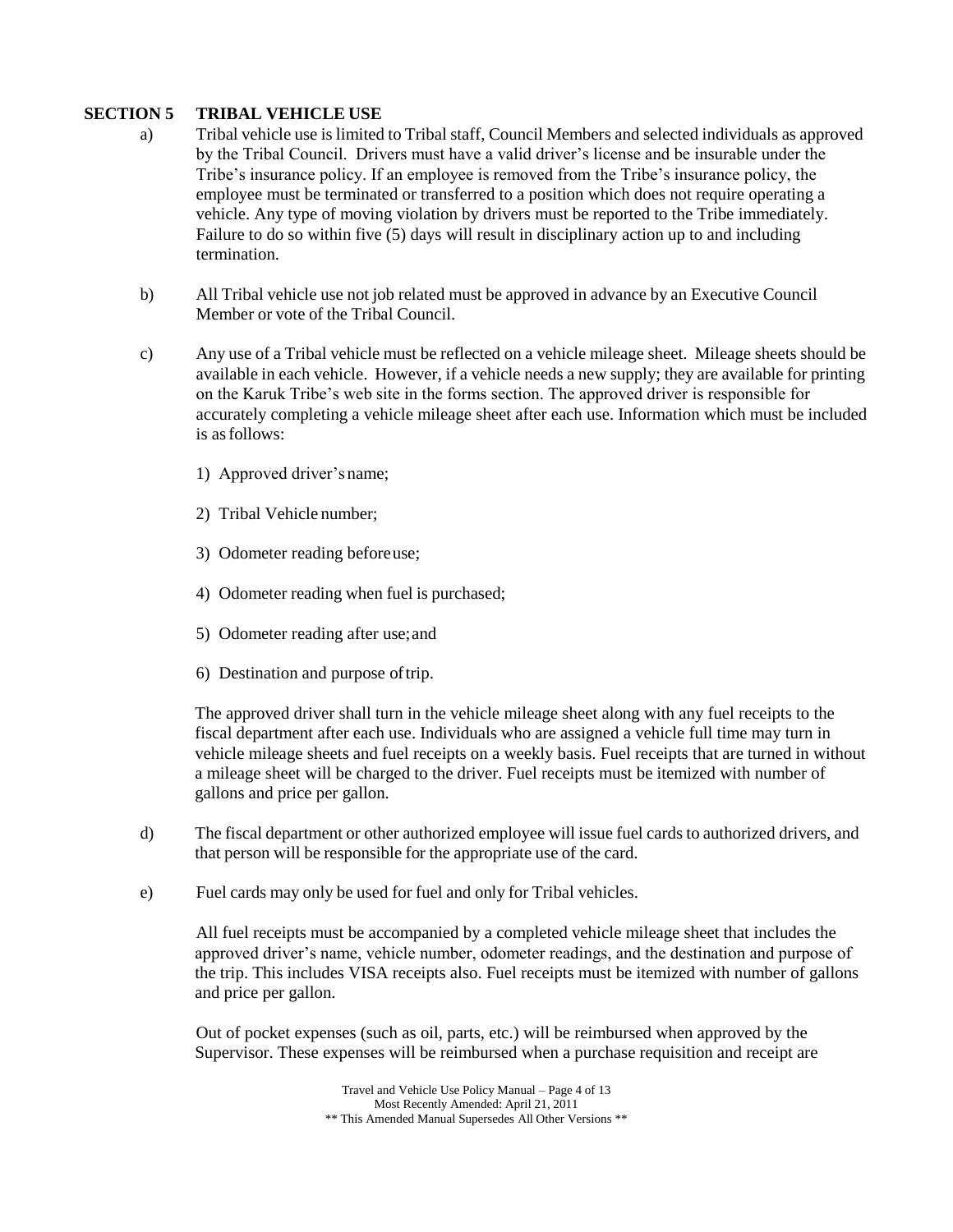#### **SECTION 5 TRIBAL VEHICLE USE**

- a) Tribal vehicle use is limited to Tribal staff, Council Members and selected individuals as approved by the Tribal Council. Drivers must have a valid driver's license and be insurable under the Tribe's insurance policy. If an employee is removed from the Tribe's insurance policy, the employee must be terminated or transferred to a position which does not require operating a vehicle. Any type of moving violation by drivers must be reported to the Tribe immediately. Failure to do so within five (5) days will result in disciplinary action up to and including termination.
- b) All Tribal vehicle use not job related must be approved in advance by an Executive Council Member or vote of the Tribal Council.
- c) Any use of a Tribal vehicle must be reflected on a vehicle mileage sheet. Mileage sheets should be available in each vehicle. However, if a vehicle needs a new supply; they are available for printing on the Karuk Tribe's web site in the forms section. The approved driver is responsible for accurately completing a vehicle mileage sheet after each use. Information which must be included is asfollows:
	- 1) Approved driver's name;
	- 2) Tribal Vehicle number;
	- 3) Odometer reading beforeuse;
	- 4) Odometer reading when fuel is purchased;
	- 5) Odometer reading after use;and
	- 6) Destination and purpose oftrip.

The approved driver shall turn in the vehicle mileage sheet along with any fuel receipts to the fiscal department after each use. Individuals who are assigned a vehicle full time may turn in vehicle mileage sheets and fuel receipts on a weekly basis. Fuel receipts that are turned in without a mileage sheet will be charged to the driver. Fuel receipts must be itemized with number of gallons and price per gallon.

- d) The fiscal department or other authorized employee will issue fuel cards to authorized drivers, and that person will be responsible for the appropriate use of the card.
- e) Fuel cards may only be used for fuel and only for Tribal vehicles.

All fuel receipts must be accompanied by a completed vehicle mileage sheet that includes the approved driver's name, vehicle number, odometer readings, and the destination and purpose of the trip. This includes VISA receipts also. Fuel receipts must be itemized with number of gallons and price per gallon.

Out of pocket expenses (such as oil, parts, etc.) will be reimbursed when approved by the Supervisor. These expenses will be reimbursed when a purchase requisition and receipt are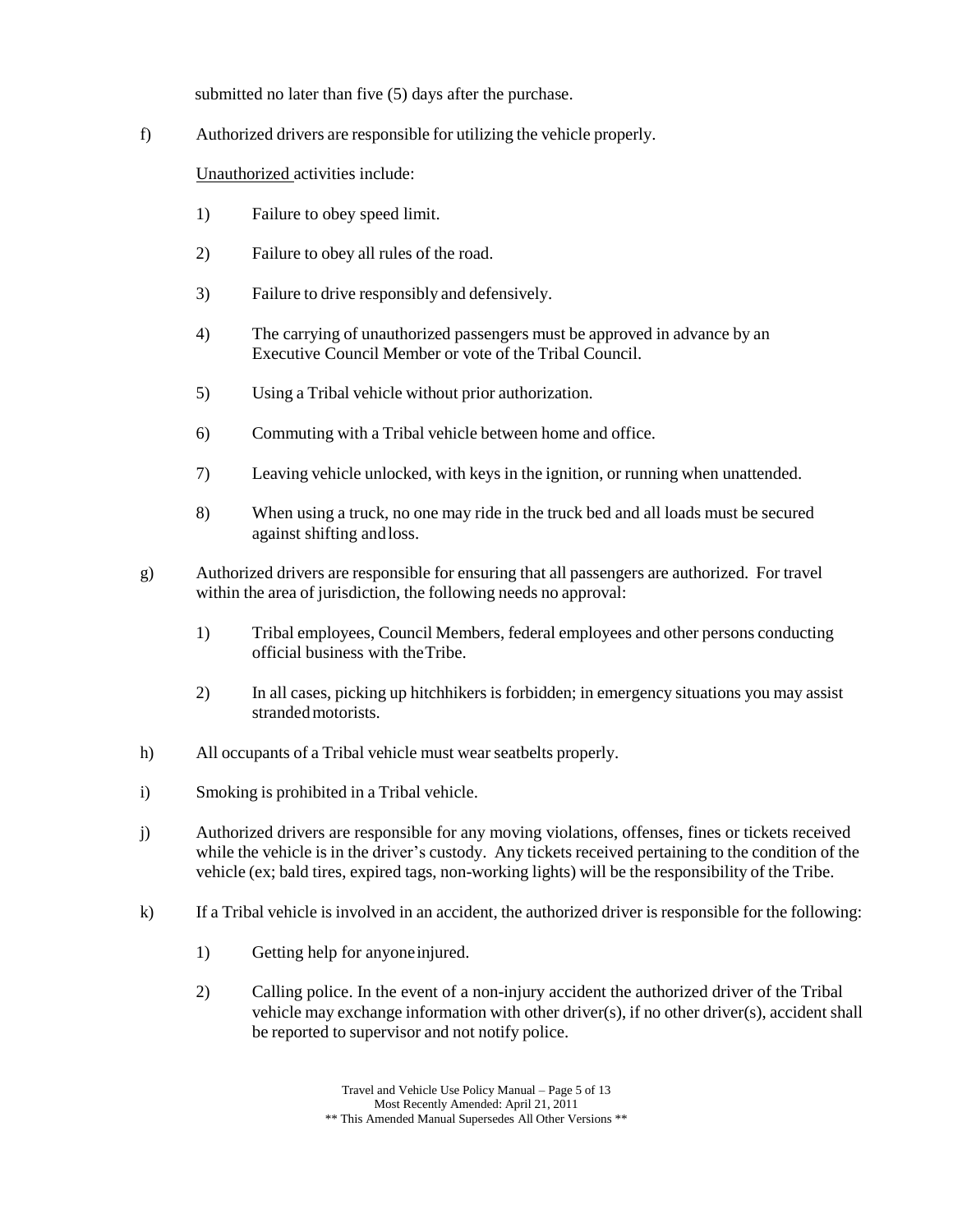submitted no later than five (5) days after the purchase.

f) Authorized drivers are responsible for utilizing the vehicle properly.

Unauthorized activities include:

- 1) Failure to obey speed limit.
- 2) Failure to obey all rules of the road.
- 3) Failure to drive responsibly and defensively.
- 4) The carrying of unauthorized passengers must be approved in advance by an Executive Council Member or vote of the Tribal Council.
- 5) Using a Tribal vehicle without prior authorization.
- 6) Commuting with a Tribal vehicle between home and office.
- 7) Leaving vehicle unlocked, with keys in the ignition, or running when unattended.
- 8) When using a truck, no one may ride in the truck bed and all loads must be secured against shifting andloss.
- g) Authorized drivers are responsible for ensuring that all passengers are authorized. For travel within the area of jurisdiction, the following needs no approval:
	- 1) Tribal employees, Council Members, federal employees and other persons conducting official business with theTribe.
	- 2) In all cases, picking up hitchhikers is forbidden; in emergency situations you may assist stranded motorists.
- h) All occupants of a Tribal vehicle must wear seatbelts properly.
- i) Smoking is prohibited in a Tribal vehicle.
- j) Authorized drivers are responsible for any moving violations, offenses, fines or tickets received while the vehicle is in the driver's custody. Any tickets received pertaining to the condition of the vehicle (ex; bald tires, expired tags, non-working lights) will be the responsibility of the Tribe.
- k) If a Tribal vehicle is involved in an accident, the authorized driver is responsible for the following:
	- 1) Getting help for anyoneinjured.
	- 2) Calling police. In the event of a non-injury accident the authorized driver of the Tribal vehicle may exchange information with other driver(s), if no other driver(s), accident shall be reported to supervisor and not notify police.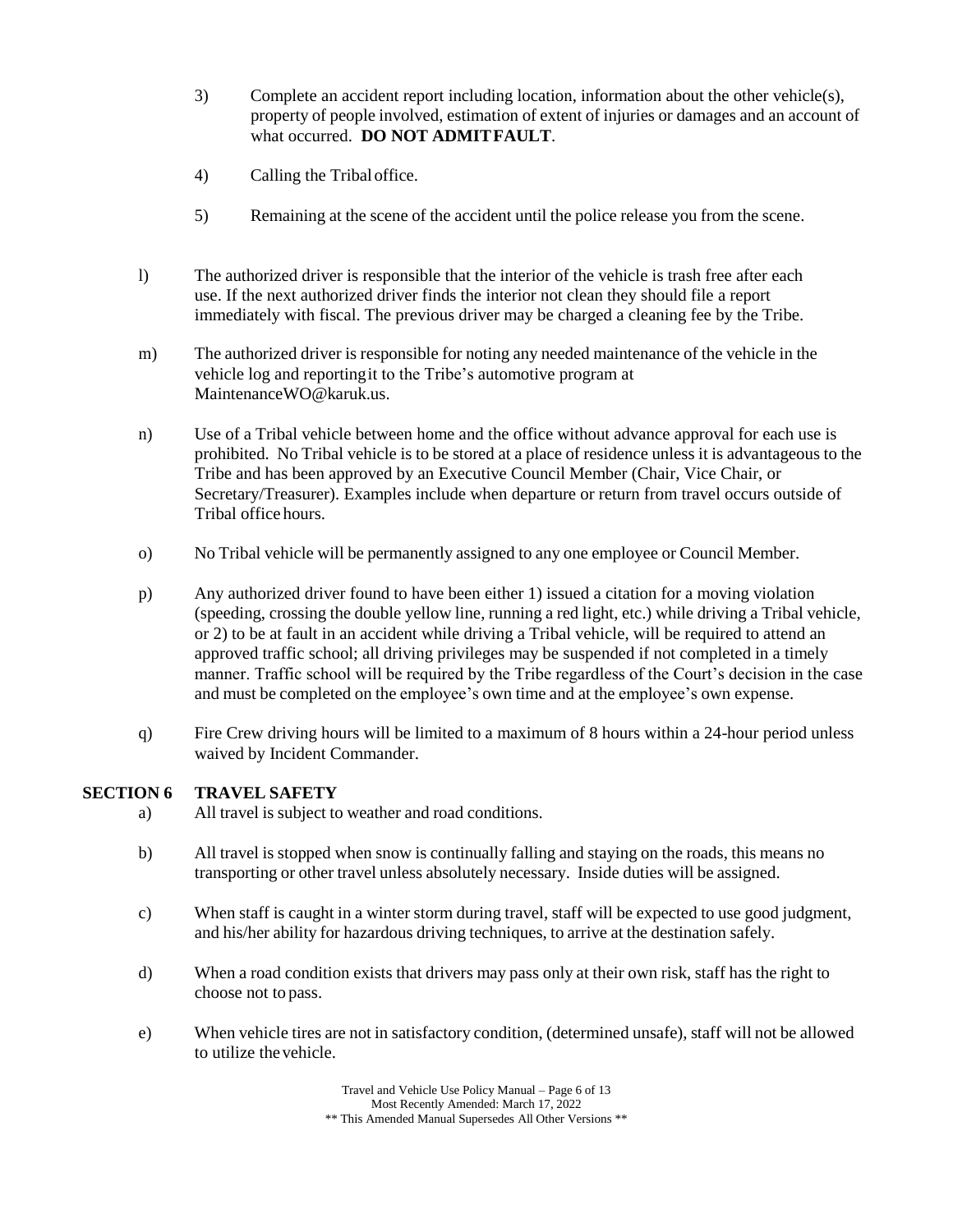- 3) Complete an accident report including location, information about the other vehicle(s), property of people involved, estimation of extent of injuries or damages and an account of what occurred. **DO NOT ADMITFAULT**.
- 4) Calling the Tribaloffice.
- 5) Remaining at the scene of the accident until the police release you from the scene.
- l) The authorized driver is responsible that the interior of the vehicle is trash free after each use. If the next authorized driver finds the interior not clean they should file a report immediately with fiscal. The previous driver may be charged a cleaning fee by the Tribe.
- m) The authorized driver is responsible for noting any needed maintenance of the vehicle in the vehicle log and reportingit to the Tribe's automotive program at MaintenanceWO@karuk.us.
- n) Use of a Tribal vehicle between home and the office without advance approval for each use is prohibited. No Tribal vehicle is to be stored at a place of residence unless it is advantageous to the Tribe and has been approved by an Executive Council Member (Chair, Vice Chair, or Secretary/Treasurer). Examples include when departure or return from travel occurs outside of Tribal office hours.
- o) No Tribal vehicle will be permanently assigned to any one employee or Council Member.
- p) Any authorized driver found to have been either 1) issued a citation for a moving violation (speeding, crossing the double yellow line, running a red light, etc.) while driving a Tribal vehicle, or 2) to be at fault in an accident while driving a Tribal vehicle, will be required to attend an approved traffic school; all driving privileges may be suspended if not completed in a timely manner. Traffic school will be required by the Tribe regardless of the Court's decision in the case and must be completed on the employee's own time and at the employee's own expense.
- q) Fire Crew driving hours will be limited to a maximum of 8 hours within a 24-hour period unless waived by Incident Commander.

#### **SECTION 6 TRAVEL SAFETY**

- a) All travel is subject to weather and road conditions.
- b) All travel is stopped when snow is continually falling and staying on the roads, this means no transporting or other travel unless absolutely necessary. Inside duties will be assigned.
- c) When staff is caught in a winter storm during travel, staff will be expected to use good judgment, and his/her ability for hazardous driving techniques, to arrive at the destination safely.
- d) When a road condition exists that drivers may pass only at their own risk, staff has the right to choose not to pass.
- e) When vehicle tires are not in satisfactory condition, (determined unsafe), staff will not be allowed to utilize thevehicle.

Travel and Vehicle Use Policy Manual – Page 6 of 13 Most Recently Amended: March 17, 2022 \*\* This Amended Manual Supersedes All Other Versions \*\*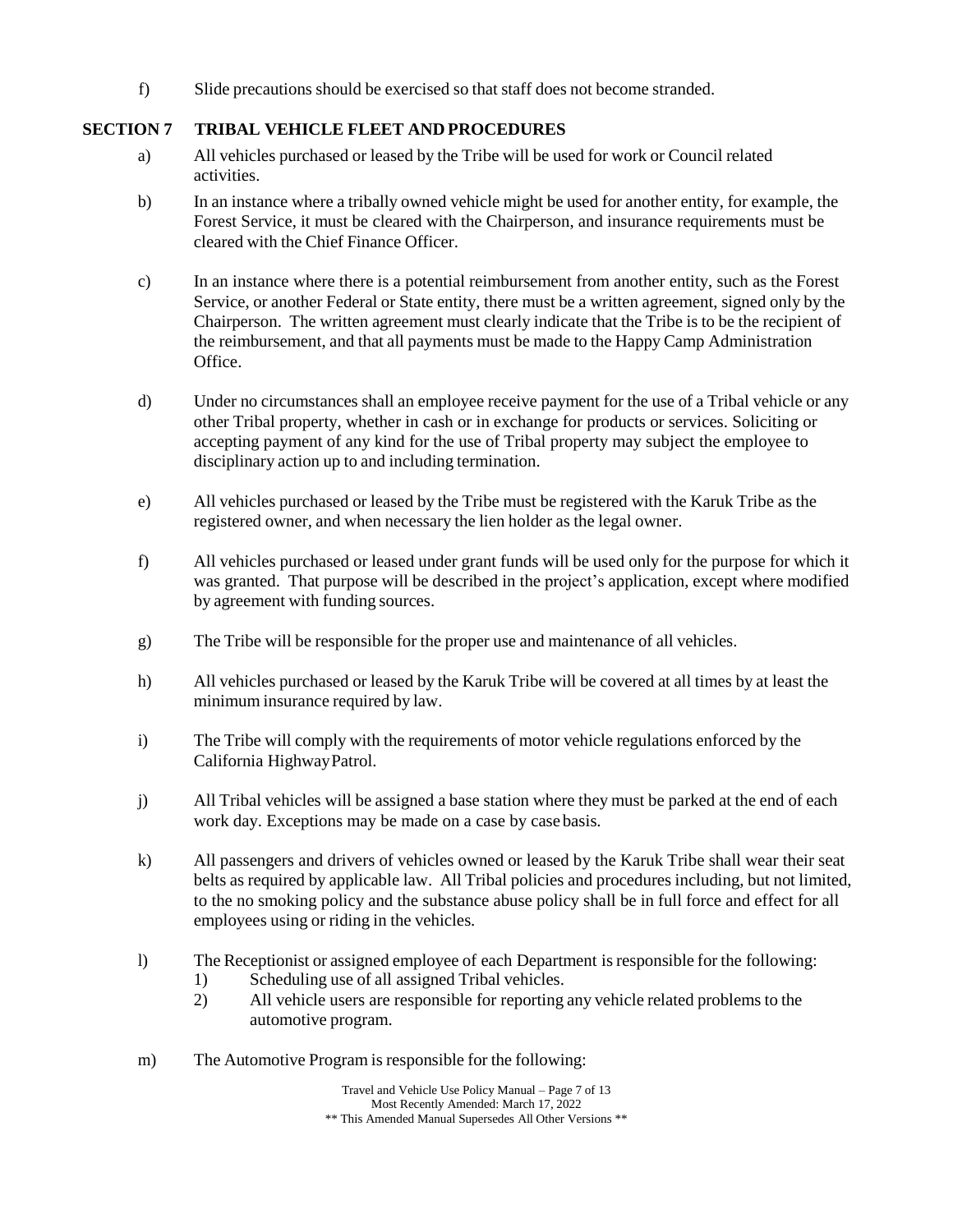f) Slide precautions should be exercised so that staff does not become stranded.

# **SECTION 7 TRIBAL VEHICLE FLEET AND PROCEDURES**

- a) All vehicles purchased or leased by the Tribe will be used for work or Council related activities.
- b) In an instance where a tribally owned vehicle might be used for another entity, for example, the Forest Service, it must be cleared with the Chairperson, and insurance requirements must be cleared with the Chief Finance Officer.
- c) In an instance where there is a potential reimbursement from another entity, such as the Forest Service, or another Federal or State entity, there must be a written agreement, signed only by the Chairperson. The written agreement must clearly indicate that the Tribe is to be the recipient of the reimbursement, and that all payments must be made to the Happy Camp Administration Office.
- d) Under no circumstances shall an employee receive payment for the use of a Tribal vehicle or any other Tribal property, whether in cash or in exchange for products or services. Soliciting or accepting payment of any kind for the use of Tribal property may subject the employee to disciplinary action up to and including termination.
- e) All vehicles purchased or leased by the Tribe must be registered with the Karuk Tribe as the registered owner, and when necessary the lien holder as the legal owner.
- f) All vehicles purchased or leased under grant funds will be used only for the purpose for which it was granted. That purpose will be described in the project's application, except where modified by agreement with funding sources.
- g) The Tribe will be responsible for the proper use and maintenance of all vehicles.
- h) All vehicles purchased or leased by the Karuk Tribe will be covered at all times by at least the minimum insurance required by law.
- i) The Tribe will comply with the requirements of motor vehicle regulations enforced by the California HighwayPatrol.
- j) All Tribal vehicles will be assigned a base station where they must be parked at the end of each work day. Exceptions may be made on a case by case basis.
- k) All passengers and drivers of vehicles owned or leased by the Karuk Tribe shall wear their seat belts as required by applicable law. All Tribal policies and procedures including, but not limited, to the no smoking policy and the substance abuse policy shall be in full force and effect for all employees using or riding in the vehicles.
- l) The Receptionist or assigned employee of each Department isresponsible for the following:
	- 1) Scheduling use of all assigned Tribal vehicles.
	- 2) All vehicle users are responsible for reporting any vehicle related problems to the automotive program.
- m) The Automotive Program is responsible for the following: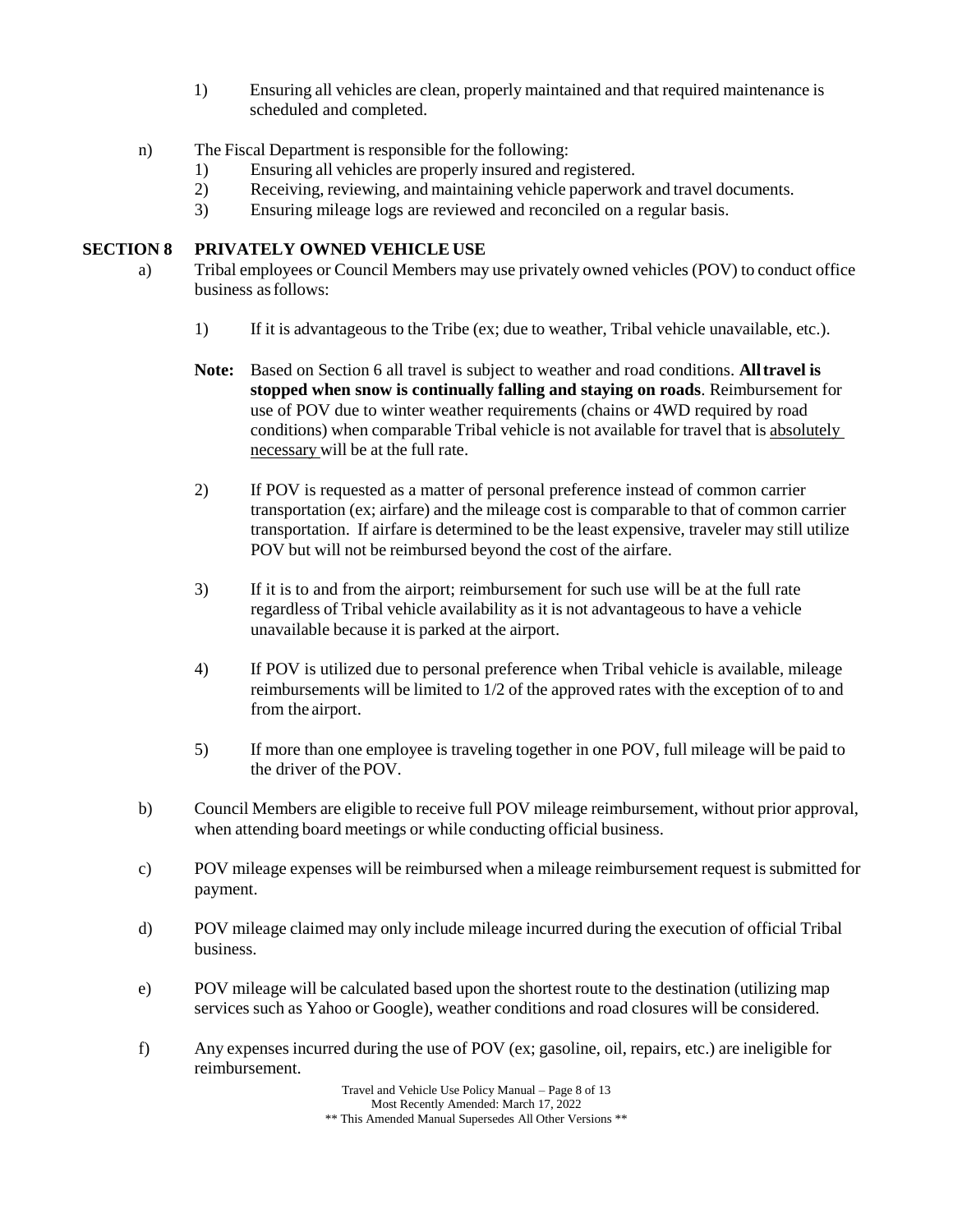- 1) Ensuring all vehicles are clean, properly maintained and that required maintenance is scheduled and completed.
- n) The Fiscal Department is responsible for the following:
	- 1) Ensuring all vehicles are properly insured and registered.<br>2) Receiving, reviewing, and maintaining vehicle paperwork
	- Receiving, reviewing, and maintaining vehicle paperwork and travel documents.
	- 3) Ensuring mileage logs are reviewed and reconciled on a regular basis.

# **SECTION 8 PRIVATELY OWNED VEHICLE USE**

- a) Tribal employees or Council Members may use privately owned vehicles (POV) to conduct office business asfollows:
	- 1) If it is advantageous to the Tribe (ex; due to weather, Tribal vehicle unavailable, etc.).
	- **Note:** Based on Section 6 all travel is subject to weather and road conditions. **Alltravel is stopped when snow is continually falling and staying on roads**. Reimbursement for use of POV due to winter weather requirements (chains or 4WD required by road conditions) when comparable Tribal vehicle is not available for travel that is absolutely necessary will be at the full rate.
	- 2) If POV is requested as a matter of personal preference instead of common carrier transportation (ex; airfare) and the mileage cost is comparable to that of common carrier transportation. If airfare is determined to be the least expensive, traveler may still utilize POV but will not be reimbursed beyond the cost of the airfare.
	- 3) If it is to and from the airport; reimbursement for such use will be at the full rate regardless of Tribal vehicle availability as it is not advantageous to have a vehicle unavailable because it is parked at the airport.
	- 4) If POV is utilized due to personal preference when Tribal vehicle is available, mileage reimbursements will be limited to 1/2 of the approved rates with the exception of to and from the airport.
	- 5) If more than one employee is traveling together in one POV, full mileage will be paid to the driver of the POV.
- b) Council Members are eligible to receive full POV mileage reimbursement, without prior approval, when attending board meetings or while conducting official business.
- c) POV mileage expenses will be reimbursed when a mileage reimbursement request is submitted for payment.
- d) POV mileage claimed may only include mileage incurred during the execution of official Tribal business.
- e) POV mileage will be calculated based upon the shortest route to the destination (utilizing map services such as Yahoo or Google), weather conditions and road closures will be considered.
- f) Any expenses incurred during the use of POV (ex; gasoline, oil, repairs, etc.) are ineligible for reimbursement.

Travel and Vehicle Use Policy Manual – Page 8 of 13 Most Recently Amended: March 17, 2022 \*\* This Amended Manual Supersedes All Other Versions \*\*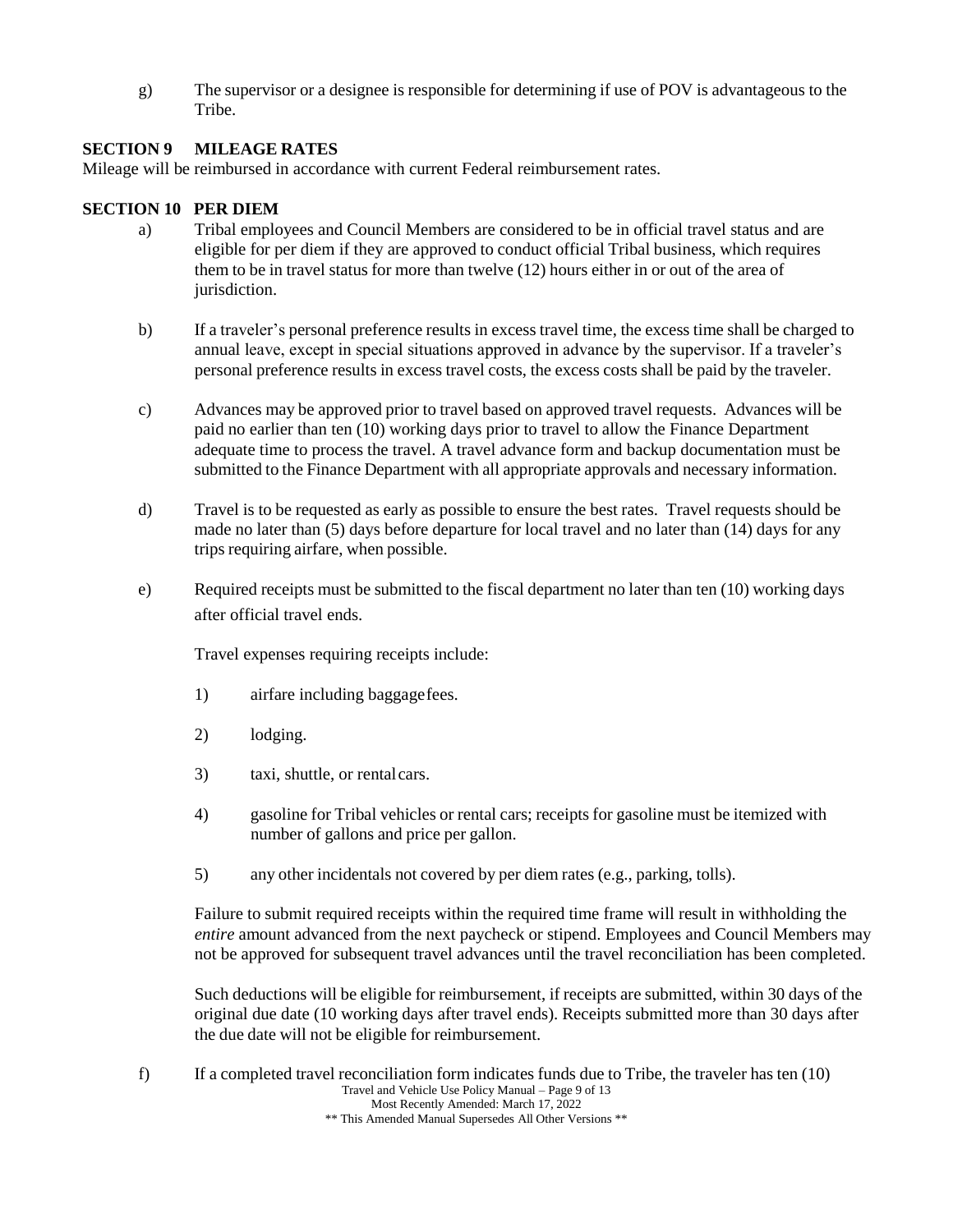g) The supervisor or a designee is responsible for determining if use of POV is advantageous to the Tribe.

### **SECTION 9 MILEAGE RATES**

Mileage will be reimbursed in accordance with current Federal reimbursement rates.

## **SECTION 10 PER DIEM**

- a) Tribal employees and Council Members are considered to be in official travel status and are eligible for per diem if they are approved to conduct official Tribal business, which requires them to be in travel status for more than twelve (12) hours either in or out of the area of jurisdiction.
- b) If a traveler's personal preference results in excess travel time, the excess time shall be charged to annual leave, except in special situations approved in advance by the supervisor. If a traveler's personal preference results in excess travel costs, the excess costs shall be paid by the traveler.
- c) Advances may be approved prior to travel based on approved travel requests. Advances will be paid no earlier than ten (10) working days prior to travel to allow the Finance Department adequate time to process the travel. A travel advance form and backup documentation must be submitted to the Finance Department with all appropriate approvals and necessary information.
- d) Travel is to be requested as early as possible to ensure the best rates. Travel requests should be made no later than (5) days before departure for local travel and no later than (14) days for any trips requiring airfare, when possible.
- e) Required receipts must be submitted to the fiscal department no later than ten (10) working days after official travel ends.

Travel expenses requiring receipts include:

- 1) airfare including baggagefees.
- 2) lodging.
- 3) taxi, shuttle, or rentalcars.
- 4) gasoline for Tribal vehicles or rental cars; receipts for gasoline must be itemized with number of gallons and price per gallon.
- 5) any other incidentals not covered by per diem rates (e.g., parking, tolls).

Failure to submit required receipts within the required time frame will result in withholding the *entire* amount advanced from the next paycheck or stipend. Employees and Council Members may not be approved for subsequent travel advances until the travel reconciliation has been completed.

Such deductions will be eligible for reimbursement, if receipts are submitted, within 30 days of the original due date (10 working days after travel ends). Receipts submitted more than 30 days after the due date will not be eligible for reimbursement.

Travel and Vehicle Use Policy Manual – Page 9 of 13 Most Recently Amended: March 17, 2022 \*\* This Amended Manual Supersedes All Other Versions \*\* f) If a completed travel reconciliation form indicates funds due to Tribe, the traveler has ten (10)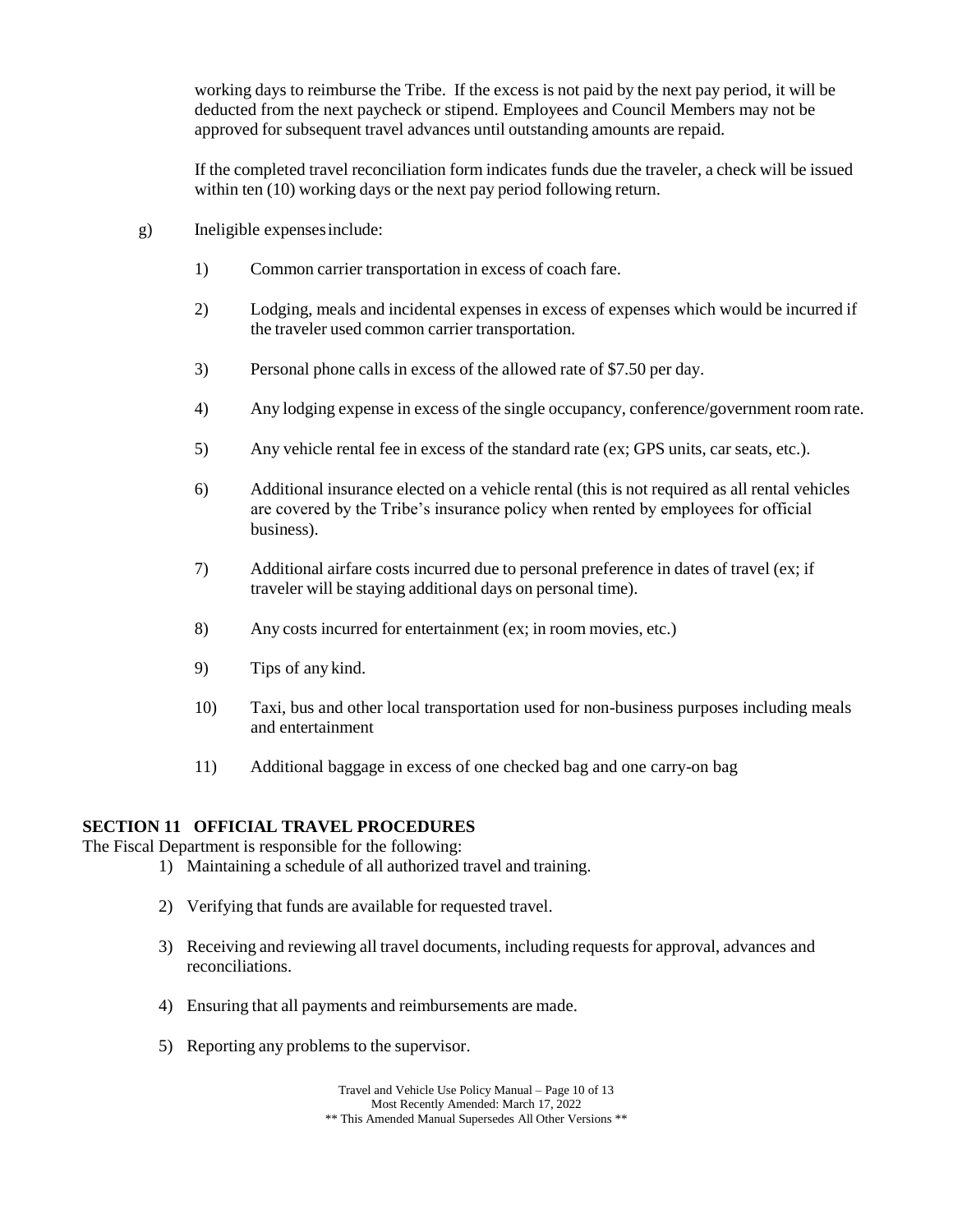working days to reimburse the Tribe. If the excess is not paid by the next pay period, it will be deducted from the next paycheck or stipend. Employees and Council Members may not be approved for subsequent travel advances until outstanding amounts are repaid.

If the completed travel reconciliation form indicates funds due the traveler, a check will be issued within ten (10) working days or the next pay period following return.

- g) Ineligible expensesinclude:
	- 1) Common carrier transportation in excess of coach fare.
	- 2) Lodging, meals and incidental expenses in excess of expenses which would be incurred if the traveler used common carrier transportation.
	- 3) Personal phone calls in excess of the allowed rate of \$7.50 per day.
	- 4) Any lodging expense in excess of the single occupancy, conference/government room rate.
	- 5) Any vehicle rental fee in excess of the standard rate (ex; GPS units, car seats, etc.).
	- 6) Additional insurance elected on a vehicle rental (this is not required as all rental vehicles are covered by the Tribe's insurance policy when rented by employees for official business).
	- 7) Additional airfare costs incurred due to personal preference in dates of travel (ex; if traveler will be staying additional days on personal time).
	- 8) Any costs incurred for entertainment (ex; in room movies, etc.)
	- 9) Tips of any kind.
	- 10) Taxi, bus and other local transportation used for non-business purposes including meals and entertainment
	- 11) Additional baggage in excess of one checked bag and one carry-on bag

#### **SECTION 11 OFFICIAL TRAVEL PROCEDURES**

The Fiscal Department is responsible for the following:

- 1) Maintaining a schedule of all authorized travel and training.
- 2) Verifying that funds are available for requested travel.
- 3) Receiving and reviewing all travel documents, including requestsfor approval, advances and reconciliations.
- 4) Ensuring that all payments and reimbursements are made.
- 5) Reporting any problems to the supervisor.

Travel and Vehicle Use Policy Manual – Page 10 of 13 Most Recently Amended: March 17, 2022 \*\* This Amended Manual Supersedes All Other Versions \*\*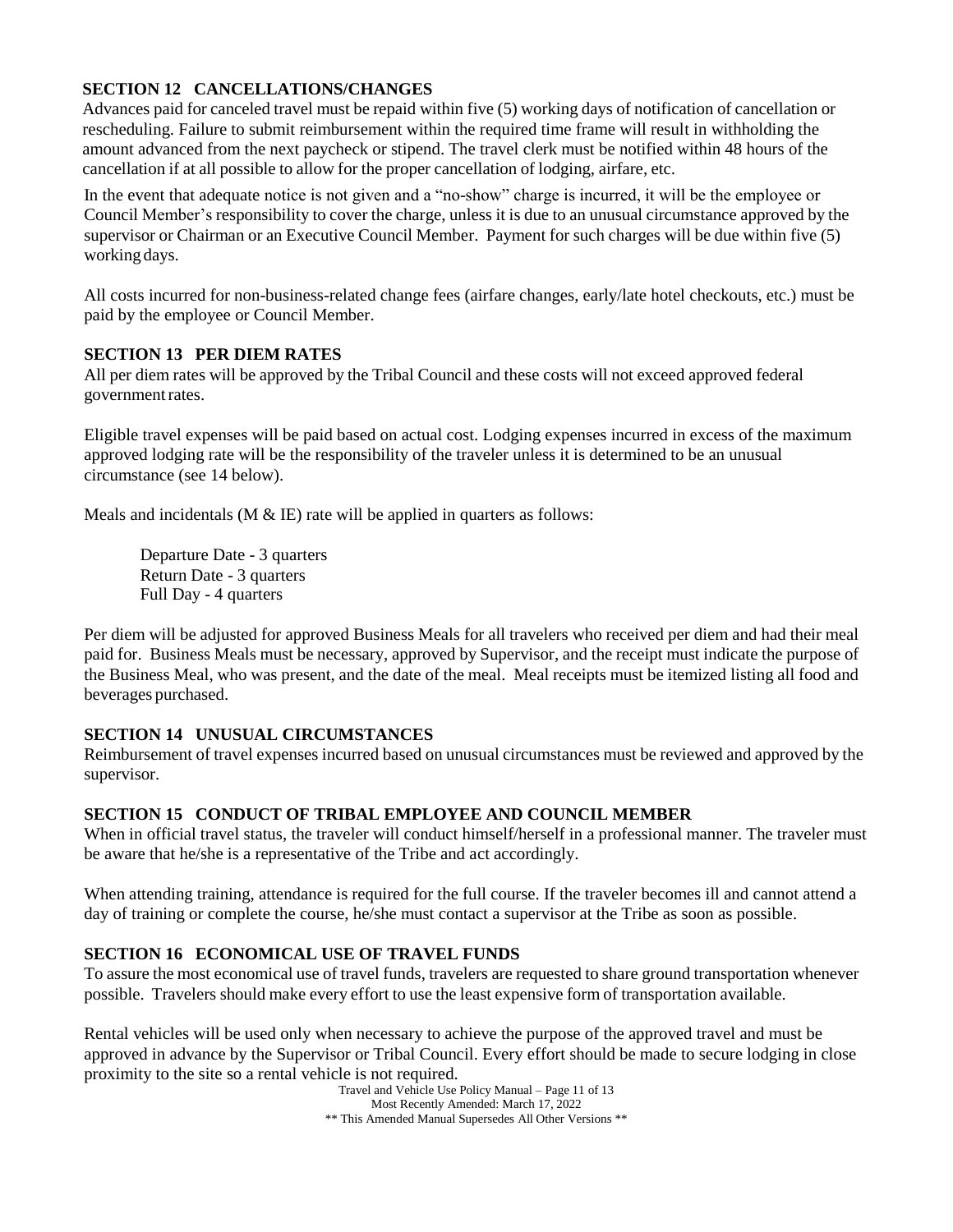# **SECTION 12 CANCELLATIONS/CHANGES**

Advances paid for canceled travel must be repaid within five (5) working days of notification of cancellation or rescheduling. Failure to submit reimbursement within the required time frame will result in withholding the amount advanced from the next paycheck or stipend. The travel clerk must be notified within 48 hours of the cancellation if at all possible to allow for the proper cancellation of lodging, airfare, etc.

In the event that adequate notice is not given and a "no-show" charge is incurred, it will be the employee or Council Member's responsibility to cover the charge, unless it is due to an unusual circumstance approved by the supervisor or Chairman or an Executive Council Member. Payment for such charges will be due within five (5) working days.

All costs incurred for non-business-related change fees (airfare changes, early/late hotel checkouts, etc.) must be paid by the employee or Council Member.

#### **SECTION 13 PER DIEM RATES**

All per diem rates will be approved by the Tribal Council and these costs will not exceed approved federal government rates.

Eligible travel expenses will be paid based on actual cost. Lodging expenses incurred in excess of the maximum approved lodging rate will be the responsibility of the traveler unless it is determined to be an unusual circumstance (see 14 below).

Meals and incidentals ( $M \& \times$  IE) rate will be applied in quarters as follows:

Departure Date - 3 quarters Return Date - 3 quarters Full Day - 4 quarters

Per diem will be adjusted for approved Business Meals for all travelers who received per diem and had their meal paid for. Business Meals must be necessary, approved by Supervisor, and the receipt must indicate the purpose of the Business Meal, who was present, and the date of the meal. Meal receipts must be itemized listing all food and beverages purchased.

#### **SECTION 14 UNUSUAL CIRCUMSTANCES**

Reimbursement of travel expenses incurred based on unusual circumstances must be reviewed and approved by the supervisor.

#### **SECTION 15 CONDUCT OF TRIBAL EMPLOYEE AND COUNCIL MEMBER**

When in official travel status, the traveler will conduct himself/herself in a professional manner. The traveler must be aware that he/she is a representative of the Tribe and act accordingly.

When attending training, attendance is required for the full course. If the traveler becomes ill and cannot attend a day of training or complete the course, he/she must contact a supervisor at the Tribe as soon as possible.

# **SECTION 16 ECONOMICAL USE OF TRAVEL FUNDS**

To assure the most economical use of travel funds, travelers are requested to share ground transportation whenever possible. Travelers should make every effort to use the least expensive form of transportation available.

Rental vehicles will be used only when necessary to achieve the purpose of the approved travel and must be approved in advance by the Supervisor or Tribal Council. Every effort should be made to secure lodging in close proximity to the site so a rental vehicle is not required.

Travel and Vehicle Use Policy Manual – Page 11 of 13 Most Recently Amended: March 17, 2022 \*\* This Amended Manual Supersedes All Other Versions \*\*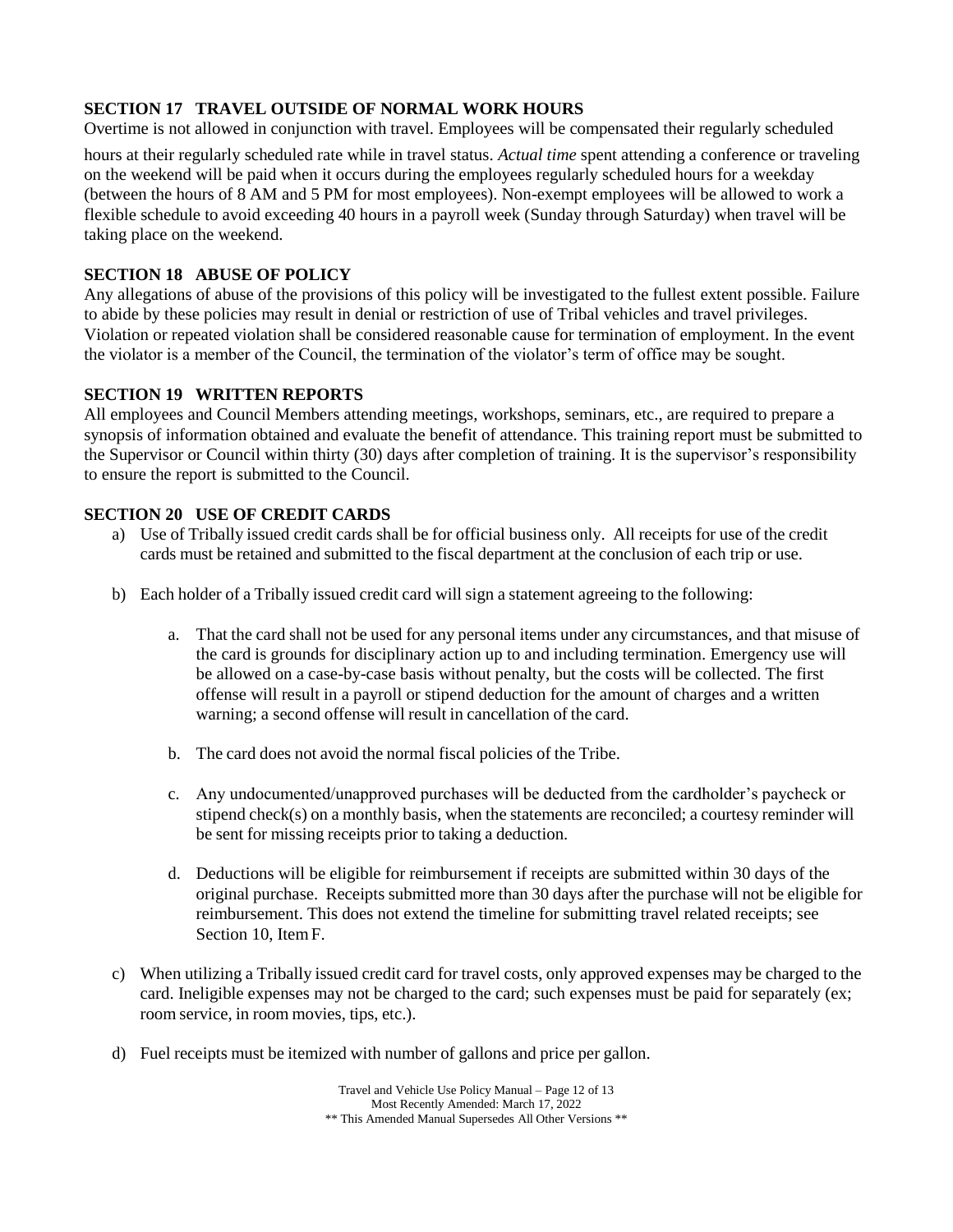# **SECTION 17 TRAVEL OUTSIDE OF NORMAL WORK HOURS**

Overtime is not allowed in conjunction with travel. Employees will be compensated their regularly scheduled

hours at their regularly scheduled rate while in travel status. *Actual time* spent attending a conference or traveling on the weekend will be paid when it occurs during the employees regularly scheduled hours for a weekday (between the hours of 8 AM and 5 PM for most employees). Non-exempt employees will be allowed to work a flexible schedule to avoid exceeding 40 hours in a payroll week (Sunday through Saturday) when travel will be taking place on the weekend.

# **SECTION 18 ABUSE OF POLICY**

Any allegations of abuse of the provisions of this policy will be investigated to the fullest extent possible. Failure to abide by these policies may result in denial or restriction of use of Tribal vehicles and travel privileges. Violation or repeated violation shall be considered reasonable cause for termination of employment. In the event the violator is a member of the Council, the termination of the violator's term of office may be sought.

# **SECTION 19 WRITTEN REPORTS**

All employees and Council Members attending meetings, workshops, seminars, etc., are required to prepare a synopsis of information obtained and evaluate the benefit of attendance. This training report must be submitted to the Supervisor or Council within thirty (30) days after completion of training. It is the supervisor's responsibility to ensure the report is submitted to the Council.

### **SECTION 20 USE OF CREDIT CARDS**

- a) Use of Tribally issued credit cards shall be for official business only. All receipts for use of the credit cards must be retained and submitted to the fiscal department at the conclusion of each trip or use.
- b) Each holder of a Tribally issued credit card will sign a statement agreeing to the following:
	- a. That the card shall not be used for any personal items under any circumstances, and that misuse of the card is grounds for disciplinary action up to and including termination. Emergency use will be allowed on a case-by-case basis without penalty, but the costs will be collected. The first offense will result in a payroll or stipend deduction for the amount of charges and a written warning; a second offense will result in cancellation of the card.
	- b. The card does not avoid the normal fiscal policies of the Tribe.
	- c. Any undocumented/unapproved purchases will be deducted from the cardholder's paycheck or stipend check(s) on a monthly basis, when the statements are reconciled; a courtesy reminder will be sent for missing receipts prior to taking a deduction.
	- d. Deductions will be eligible for reimbursement if receipts are submitted within 30 days of the original purchase. Receipts submitted more than 30 days after the purchase will not be eligible for reimbursement. This does not extend the timeline for submitting travel related receipts; see Section 10, ItemF.
- c) When utilizing a Tribally issued credit card for travel costs, only approved expenses may be charged to the card. Ineligible expenses may not be charged to the card; such expenses must be paid for separately (ex; room service, in room movies, tips, etc.).
- d) Fuel receipts must be itemized with number of gallons and price per gallon.